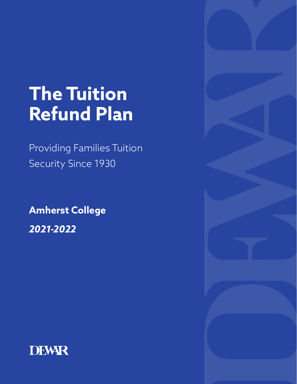# **The Tuition Refund Plan**

Providing Families Tuition Security Since 1930

**Amherst College** *2021-2022*



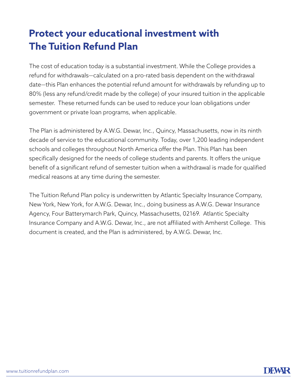# **Protect your educational investment with The Tuition Refund Plan**

The cost of education today is a substantial investment. While the College provides a refund for withdrawals—calculated on a pro-rated basis dependent on the withdrawal date—this Plan enhances the potential refund amount for withdrawals by refunding up to 80% (less any refund/credit made by the college) of your insured tuition in the applicable semester. These returned funds can be used to reduce your loan obligations under government or private loan programs, when applicable.

The Plan is administered by A.W.G. Dewar, Inc., Quincy, Massachusetts, now in its ninth decade of service to the educational community. Today, over 1,200 leading independent schools and colleges throughout North America offer the Plan. This Plan has been specifically designed for the needs of college students and parents. It offers the unique benefit of a significant refund of semester tuition when a withdrawal is made for qualified medical reasons at any time during the semester.

The Tuition Refund Plan policy is underwritten by Atlantic Specialty Insurance Company, New York, New York, for A.W.G. Dewar, Inc., doing business as A.W.G. Dewar Insurance Agency, Four Batterymarch Park, Quincy, Massachusetts, 02169. Atlantic Specialty Insurance Company and A.W.G. Dewar, Inc., are not affiliated with Amherst College. This document is created, and the Plan is administered, by A.W.G. Dewar, Inc.

![](_page_1_Picture_5.jpeg)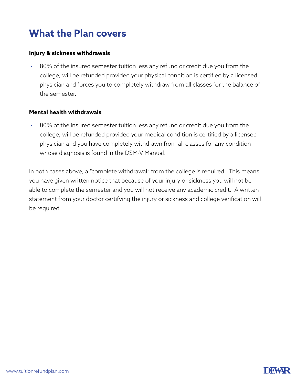# **What the Plan covers**

#### **Injury & sickness withdrawals**

• 80% of the insured semester tuition less any refund or credit due you from the college, will be refunded provided your physical condition is certified by a licensed physician and forces you to completely withdraw from all classes for the balance of the semester.

#### **Mental health withdrawals**

• 80% of the insured semester tuition less any refund or credit due you from the college, will be refunded provided your medical condition is certified by a licensed physician and you have completely withdrawn from all classes for any condition whose diagnosis is found in the DSM-V Manual.

In both cases above, a "complete withdrawal" from the college is required. This means you have given written notice that because of your injury or sickness you will not be able to complete the semester and you will not receive any academic credit. A written statement from your doctor certifying the injury or sickness and college verification will be required.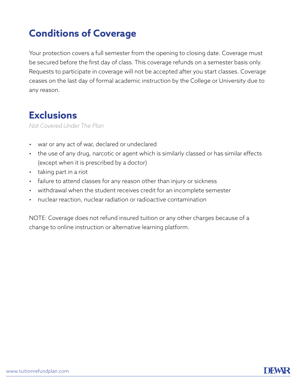# **Conditions of Coverage**

Your protection covers a full semester from the opening to closing date. Coverage must be secured before the first day of class. This coverage refunds on a semester basis only. Requests to participate in coverage will not be accepted after you start classes. Coverage ceases on the last day of formal academic instruction by the College or University due to any reason.

#### **Exclusions**

*Not Covered Under The Plan*

- war or any act of war, declared or undeclared
- the use of any drug, narcotic or agent which is similarly classed or has similar effects (except when it is prescribed by a doctor)
- taking part in a riot
- failure to attend classes for any reason other than injury or sickness
- withdrawal when the student receives credit for an incomplete semester
- nuclear reaction, nuclear radiation or radioactive contamination

NOTE: Coverage does not refund insured tuition or any other charges because of a change to online instruction or alternative learning platform.

![](_page_3_Picture_12.jpeg)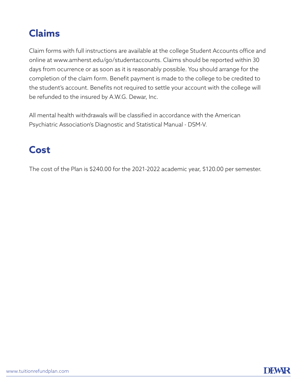# **Claims**

Claim forms with full instructions are available at the college Student Accounts office and online at www.amherst.edu/go/studentaccounts. Claims should be reported within 30 days from ocurrence or as soon as it is reasonably possible. You should arrange for the completion of the claim form. Benefit payment is made to the college to be credited to the student's account. Benefits not required to settle your account with the college will be refunded to the insured by A.W.G. Dewar, Inc.

All mental health withdrawals will be classified in accordance with the American Psychiatric Association's Diagnostic and Statistical Manual - DSM-V.

## **Cost**

The cost of the Plan is \$240.00 for the 2021-2022 academic year, \$120.00 per semester.